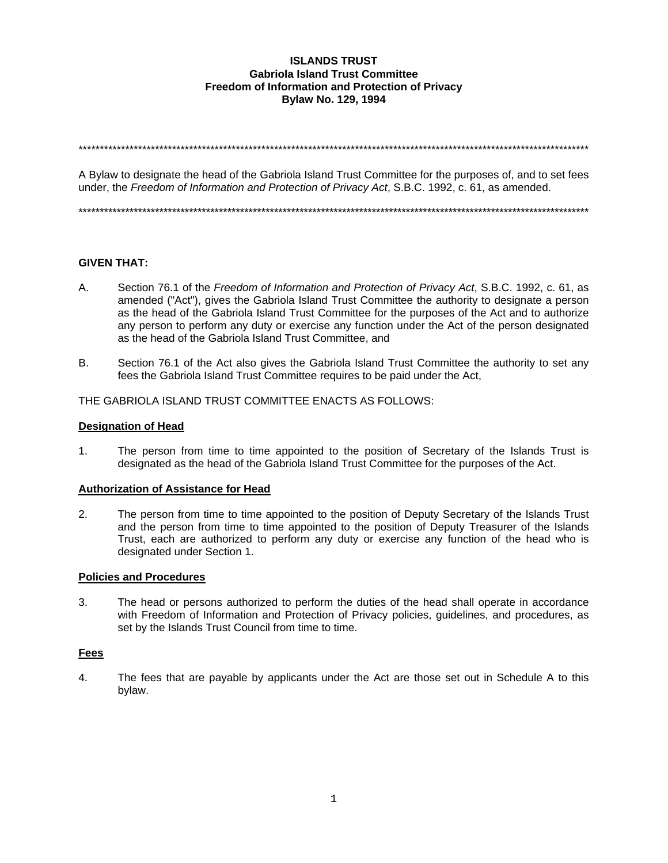#### **ISLANDS TRUST Gabriola Island Trust Committee** Freedom of Information and Protection of Privacy **Bylaw No. 129, 1994**

A Bylaw to designate the head of the Gabriola Island Trust Committee for the purposes of, and to set fees under, the Freedom of Information and Protection of Privacy Act, S.B.C. 1992, c. 61, as amended.

### **GIVEN THAT:**

- A. Section 76.1 of the Freedom of Information and Protection of Privacy Act, S.B.C. 1992, c. 61, as amended ("Act"), gives the Gabriola Island Trust Committee the authority to designate a person as the head of the Gabriola Island Trust Committee for the purposes of the Act and to authorize any person to perform any duty or exercise any function under the Act of the person designated as the head of the Gabriola Island Trust Committee, and
- $B<sub>1</sub>$ Section 76.1 of the Act also gives the Gabriola Island Trust Committee the authority to set any fees the Gabriola Island Trust Committee requires to be paid under the Act,

#### THE GABRIOLA ISLAND TRUST COMMITTEE ENACTS AS FOLLOWS:

#### **Designation of Head**

The person from time to time appointed to the position of Secretary of the Islands Trust is  $1<sub>1</sub>$ designated as the head of the Gabriola Island Trust Committee for the purposes of the Act.

#### **Authorization of Assistance for Head**

 $2.$ The person from time to time appointed to the position of Deputy Secretary of the Islands Trust and the person from time to time appointed to the position of Deputy Treasurer of the Islands Trust, each are authorized to perform any duty or exercise any function of the head who is designated under Section 1.

#### **Policies and Procedures**

3. The head or persons authorized to perform the duties of the head shall operate in accordance with Freedom of Information and Protection of Privacy policies, guidelines, and procedures, as set by the Islands Trust Council from time to time.

#### **Fees**

4. The fees that are payable by applicants under the Act are those set out in Schedule A to this bylaw.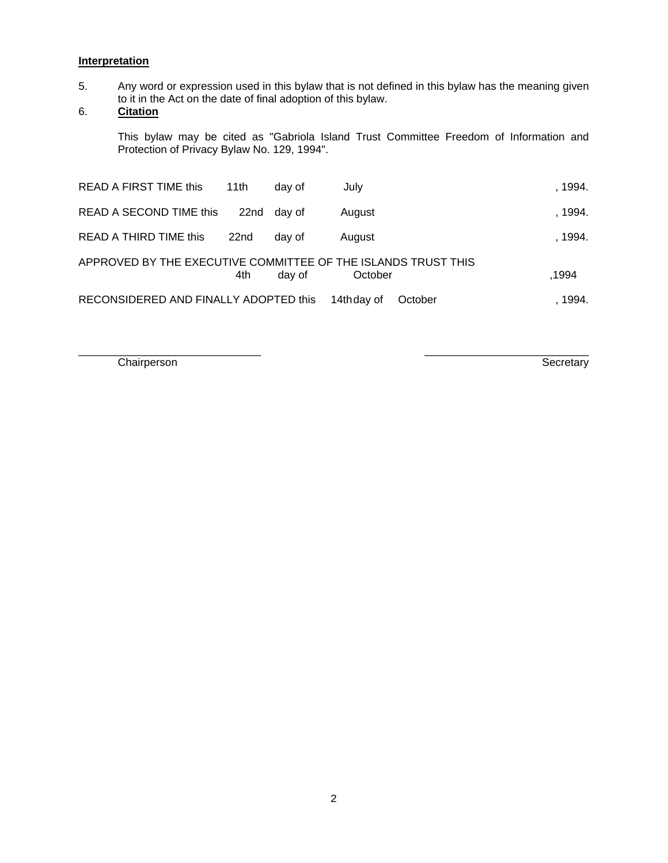## **Interpretation**

5. Any word or expression used in this bylaw that is not defined in this bylaw has the meaning given to it in the Act on the date of final adoption of this bylaw.

# 6. **Citation**

This bylaw may be cited as "Gabriola Island Trust Committee Freedom of Information and Protection of Privacy Bylaw No. 129, 1994".

| READ A FIRST TIME this                                        | 11th | day of | July                   | . 1994. |
|---------------------------------------------------------------|------|--------|------------------------|---------|
| READ A SECOND TIME this                                       | 22nd | day of | August                 | , 1994. |
| READ A THIRD TIME this                                        | 22nd | day of | August                 | . 1994. |
| APPROVED BY THE EXECUTIVE COMMITTEE OF THE ISLANDS TRUST THIS | 4th  | day of | October                | .1994   |
| RECONSIDERED AND FINALLY ADOPTED this                         |      |        | 14th day of<br>October | 1994.   |

\_\_\_\_\_\_\_\_\_\_\_\_\_\_\_\_\_\_\_\_\_\_\_\_\_\_\_\_\_\_ \_\_\_\_\_\_\_\_\_\_\_\_\_\_\_\_\_\_\_\_\_\_\_\_\_\_\_

Chairperson Secretary